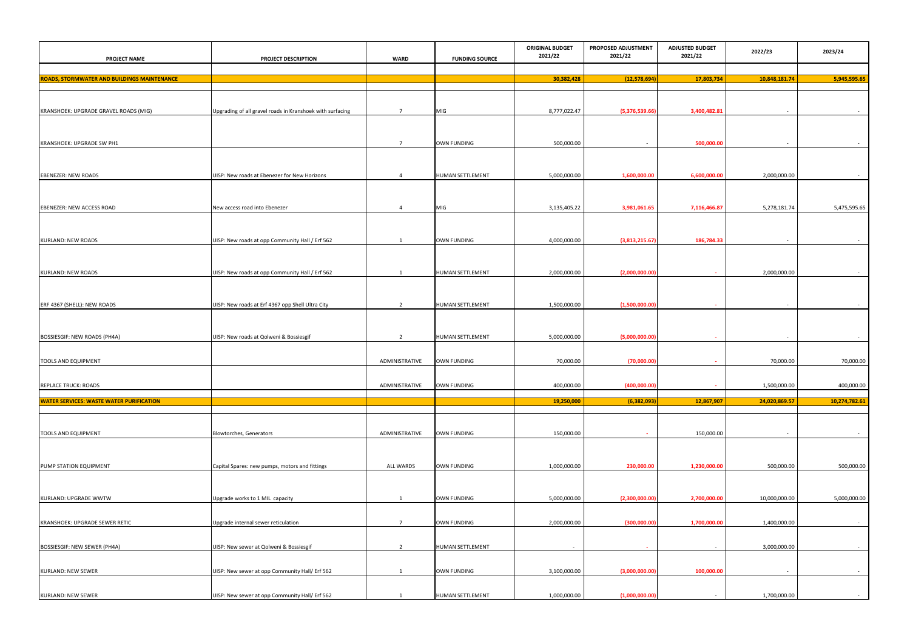| <b>PROJECT NAME</b>                                | PROJECT DESCRIPTION                                       | <b>WARD</b>      | <b>FUNDING SOURCE</b>   | <b>ORIGINAL BUDGET</b><br>2021/22 | PROPOSED ADJUSTMENT<br>2021/22 | <b>ADJUSTED BUDGET</b><br>2021/22 | 2022/23       | 2023/24       |
|----------------------------------------------------|-----------------------------------------------------------|------------------|-------------------------|-----------------------------------|--------------------------------|-----------------------------------|---------------|---------------|
| <b>ROADS, STORMWATER AND BUILDINGS MAINTENANCE</b> |                                                           |                  |                         | 30,382,428                        | (12,578,694)                   | 17,803,734                        | 10,848,181.74 | 5,945,595.65  |
|                                                    |                                                           |                  |                         |                                   |                                |                                   |               |               |
| KRANSHOEK: UPGRADE GRAVEL ROADS (MIG)              | Upgrading of all gravel roads in Kranshoek with surfacing | $\overline{7}$   | MIG                     | 8,777,022.47                      | (5,376,539.66                  | 3,400,482.81                      | $\sim$        | $\sim$        |
| KRANSHOEK: UPGRADE SW PH1                          |                                                           | $\overline{7}$   | <b>OWN FUNDING</b>      | 500,000.00                        |                                | 500,000.00                        | $\sim$        |               |
| <b>EBENEZER: NEW ROADS</b>                         | UISP: New roads at Ebenezer for New Horizons              | $\overline{4}$   | <b>HUMAN SETTLEMENT</b> | 5,000,000.00                      | 1,600,000.00                   | 6,600,000.00                      | 2,000,000.00  | $\sim$        |
|                                                    |                                                           |                  |                         |                                   |                                |                                   |               |               |
| <b>EBENEZER: NEW ACCESS ROAD</b>                   | New access road into Ebenezer                             | $\overline{4}$   | <b>MIG</b>              | 3,135,405.22                      | 3,981,061.65                   | 7,116,466.87                      | 5,278,181.74  | 5,475,595.65  |
| <b>KURLAND: NEW ROADS</b>                          | UISP: New roads at opp Community Hall / Erf 562           |                  | <b>OWN FUNDING</b>      | 4,000,000.00                      | (3,813,215.67)                 | 186,784.33                        | $\sim$        |               |
| <b>KURLAND: NEW ROADS</b>                          | UISP: New roads at opp Community Hall / Erf 562           | 1                | HUMAN SETTLEMENT        | 2,000,000.00                      | (2,000,000.00)                 |                                   | 2,000,000.00  |               |
|                                                    |                                                           |                  |                         |                                   |                                |                                   |               |               |
| ERF 4367 (SHELL): NEW ROADS                        | UISP: New roads at Erf 4367 opp Shell Ultra City          | $\overline{2}$   | HUMAN SETTLEMENT        | 1,500,000.00                      | (1,500,000.00)                 |                                   | $\sim$        |               |
| BOSSIESGIF: NEW ROADS (PH4A)                       | UISP: New roads at Qolweni & Bossiesgif                   | $\overline{2}$   | HUMAN SETTLEMENT        | 5,000,000.00                      | (5,000,000.00)                 | $\sim$                            | $\sim$        | $\sim$        |
| <b>TOOLS AND EQUIPMENT</b>                         |                                                           | ADMINISTRATIVE   | <b>OWN FUNDING</b>      | 70,000.00                         | (70,000.00)                    |                                   | 70,000.00     | 70,000.00     |
| <b>REPLACE TRUCK: ROADS</b>                        |                                                           | ADMINISTRATIVE   | <b>OWN FUNDING</b>      | 400,000.00                        | (400,000.00)                   | <b>Contract</b>                   | 1,500,000.00  | 400,000.00    |
| <b>WATER SERVICES: WASTE WATER PURIFICATION</b>    |                                                           |                  |                         | 19,250,000                        | (6, 382, 093)                  | 12,867,907                        | 24,020,869.57 | 10,274,782.61 |
| <b>TOOLS AND EQUIPMENT</b>                         | Blowtorches, Generators                                   | ADMINISTRATIVE   | <b>OWN FUNDING</b>      | 150,000.00                        |                                | 150,000.00                        | $\sim$        | $\sim$        |
|                                                    |                                                           |                  |                         |                                   |                                |                                   |               |               |
| PUMP STATION EQUIPMENT                             | Capital Spares: new pumps, motors and fittings            | <b>ALL WARDS</b> | OWN FUNDING             | 1,000,000.00                      | 230,000.00                     | 1,230,000.00                      | 500,000.00    | 500,000.00    |
| KURLAND: UPGRADE WWTW                              | Upgrade works to 1 MIL capacity                           | -1               | <b>OWN FUNDING</b>      | 5,000,000.00                      | (2,300,000.00)                 | 2,700,000.00                      | 10,000,000.00 | 5,000,000.00  |
| <b>KRANSHOEK: UPGRADE SEWER RETIC</b>              | Upgrade internal sewer reticulation                       | $\overline{7}$   | <b>OWN FUNDING</b>      | 2,000,000.00                      | (300,000.00)                   | 1,700,000.00                      | 1,400,000.00  | $\sim$        |
| BOSSIESGIF: NEW SEWER (PH4A)                       | UISP: New sewer at Qolweni & Bossiesgif                   | $\overline{2}$   | HUMAN SETTLEMENT        | $\sim$                            |                                | $\sim$                            | 3,000,000.00  | $\sim$ $-$    |
| <b>KURLAND: NEW SEWER</b>                          | UISP: New sewer at opp Community Hall/ Erf 562            | -1               | <b>OWN FUNDING</b>      | 3,100,000.00                      | (3,000,000.00)                 | 100,000.00                        | $\sim$        | $\sim$        |
| <b>KURLAND: NEW SEWER</b>                          | UISP: New sewer at opp Community Hall/ Erf 562            | $\mathbf{1}$     | <b>HUMAN SETTLEMENT</b> | 1,000,000.00                      | (1,000,000.00)                 |                                   | 1,700,000.00  | $\sim$ $-$    |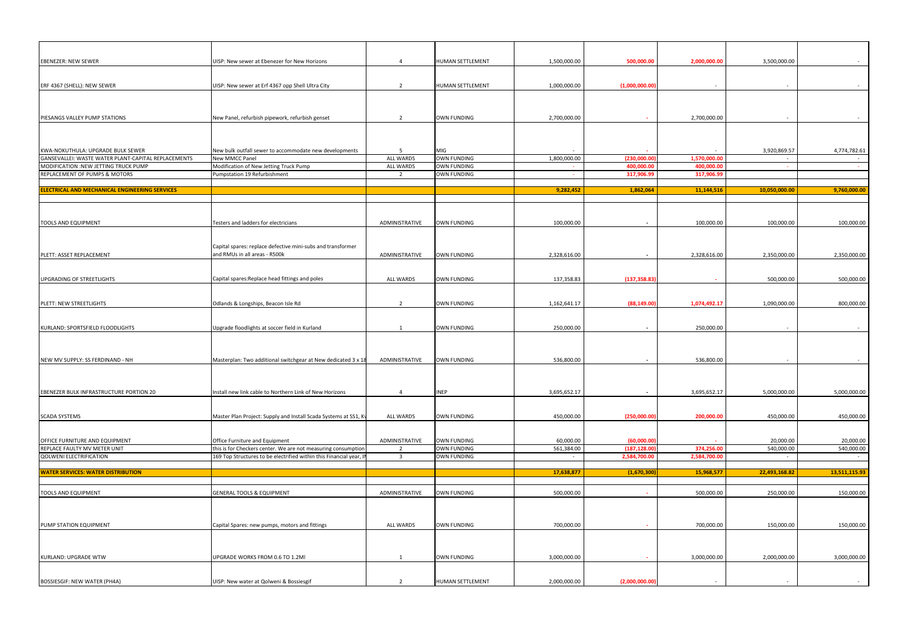| <b>EBENEZER: NEW SEWER</b>                                     | UISP: New sewer at Ebenezer for New Horizons                                                    | $\overline{4}$                   | HUMAN SETTLEMENT                         | 1,500,000.00            | 500,000.00                  | 2,000,000.00 | 3,500,000.00            |                         |
|----------------------------------------------------------------|-------------------------------------------------------------------------------------------------|----------------------------------|------------------------------------------|-------------------------|-----------------------------|--------------|-------------------------|-------------------------|
|                                                                |                                                                                                 |                                  |                                          |                         |                             |              |                         |                         |
|                                                                |                                                                                                 |                                  |                                          |                         |                             |              |                         |                         |
| ERF 4367 (SHELL): NEW SEWER                                    | UISP: New sewer at Erf 4367 opp Shell Ultra City                                                |                                  | <b>HUMAN SETTLEMENT</b>                  | 1,000,000.00            | (1,000,000.00)              |              |                         |                         |
|                                                                |                                                                                                 |                                  |                                          |                         |                             |              |                         |                         |
|                                                                |                                                                                                 |                                  |                                          |                         |                             |              |                         |                         |
| PIESANGS VALLEY PUMP STATIONS                                  | New Panel, refurbish pipework, refurbish genset                                                 | $\overline{2}$                   | <b>OWN FUNDING</b>                       | 2,700,000.00            | $\sim$                      | 2,700,000.00 | $\sim$                  |                         |
|                                                                |                                                                                                 |                                  |                                          |                         |                             |              |                         |                         |
|                                                                |                                                                                                 |                                  |                                          |                         |                             |              |                         |                         |
| KWA-NOKUTHULA: UPGRADE BULK SEWER                              | New bulk outfall sewer to accommodate new developments                                          | -5                               | MIG                                      |                         |                             |              | 3,920,869.57            | 4,774,782.61            |
| GANSEVALLEI: WASTE WATER PLANT-CAPITAL REPLACEMENTS            | New MMCC Panel                                                                                  | <b>ALL WARDS</b>                 | <b>OWN FUNDING</b>                       | 1,800,000.00            | (230,000.0)                 | 1,570,000.00 | $\sim$                  |                         |
| MODIFICATION :NEW JETTING TRUCK PUMP                           | Modification of New Jetting Truck Pump                                                          | <b>ALL WARDS</b>                 | <b>OWN FUNDING</b>                       |                         | 400,000.0                   | 400,000.00   | <b>Contract</b>         |                         |
| REPLACEMENT OF PUMPS & MOTORS                                  | Pumpstation 19 Refurbishment                                                                    | $\overline{2}$                   | <b>OWN FUNDING</b>                       | $\sim$                  | 317,906.9                   | 317,906.9    |                         |                         |
| <b>ELECTRICAL AND MECHANICAL ENGINEERING SERVICES</b>          |                                                                                                 |                                  |                                          | 9,282,452               | 1,862,064                   | 11,144,516   | 10,050,000.00           | 9,760,000.00            |
|                                                                |                                                                                                 |                                  |                                          |                         |                             |              |                         |                         |
|                                                                |                                                                                                 |                                  |                                          |                         |                             |              |                         |                         |
|                                                                |                                                                                                 |                                  |                                          |                         |                             |              |                         |                         |
| <b>TOOLS AND EQUIPMENT</b>                                     | Testers and ladders for electricians                                                            | ADMINISTRATIVE                   | <b>OWN FUNDING</b>                       | 100,000.00              | $\sim$                      | 100,000.00   | 100,000.00              | 100,000.00              |
|                                                                |                                                                                                 |                                  |                                          |                         |                             |              |                         |                         |
|                                                                | Capital spares: replace defective mini-subs and transformer                                     |                                  |                                          |                         |                             |              |                         |                         |
| PLETT: ASSET REPLACEMENT                                       | and RMUs in all areas - R500k                                                                   | ADMINISTRATIVE                   | <b>OWN FUNDING</b>                       | 2,328,616.00            | $\sim$                      | 2,328,616.00 | 2,350,000.00            | 2,350,000.00            |
|                                                                |                                                                                                 |                                  |                                          |                         |                             |              |                         |                         |
| UPGRADING OF STREETLIGHTS                                      | Capital spares: Replace head fittings and poles                                                 | <b>ALL WARDS</b>                 | <b>OWN FUNDING</b>                       | 137,358.83              | (137, 358.83)               |              | 500,000.00              | 500,000.00              |
|                                                                |                                                                                                 |                                  |                                          |                         |                             |              |                         |                         |
|                                                                |                                                                                                 |                                  |                                          |                         |                             |              |                         |                         |
| PLETT: NEW STREETLIGHTS                                        | Odlands & Longships, Beacon Isle Rd                                                             | $\overline{2}$                   | <b>OWN FUNDING</b>                       | 1,162,641.17            | (88, 149.00)                | 1,074,492.17 | 1,090,000.00            | 800,000.00              |
|                                                                |                                                                                                 |                                  |                                          |                         |                             |              |                         |                         |
| KURLAND: SPORTSFIELD FLOODLIGHTS                               | Upgrade floodlights at soccer field in Kurland                                                  | 1                                | <b>OWN FUNDING</b>                       | 250,000.00              | $\sim$ $-$                  | 250,000.00   | $\sim$ $-$              |                         |
|                                                                |                                                                                                 |                                  |                                          |                         |                             |              |                         |                         |
|                                                                |                                                                                                 |                                  |                                          |                         |                             |              |                         |                         |
|                                                                |                                                                                                 |                                  |                                          |                         |                             |              |                         |                         |
| NEW MV SUPPLY: SS FERDINAND - NH                               | Masterplan: Two additional switchgear at New dedicated 3 x 18                                   | ADMINISTRATIVE                   | <b>OWN FUNDING</b>                       | 536,800.00              | $\sim$ $-$                  | 536,800.00   | $\sim$ $-$              |                         |
|                                                                |                                                                                                 |                                  |                                          |                         |                             |              |                         |                         |
|                                                                |                                                                                                 |                                  |                                          |                         |                             |              |                         |                         |
| EBENEZER BULK INFRASTRUCTURE PORTION 20                        | Install new link cable to Northern Link of New Horizons                                         | $\overline{4}$                   | <b>INEP</b>                              | 3,695,652.17            | $\sim$ $-$                  | 3,695,652.17 | 5,000,000.00            | 5,000,000.00            |
|                                                                |                                                                                                 |                                  |                                          |                         |                             |              |                         |                         |
| <b>SCADA SYSTEMS</b>                                           | Master Plan Project: Supply and Install Scada Systems at SS1, K                                 | <b>ALL WARDS</b>                 | <b>OWN FUNDING</b>                       | 450,000.00              | (250,000.00)                | 200,000.00   | 450,000.00              | 450,000.00              |
|                                                                |                                                                                                 |                                  |                                          |                         |                             |              |                         |                         |
|                                                                |                                                                                                 |                                  |                                          |                         |                             |              |                         |                         |
| OFFICE FURNITURE AND EQUIPMENT<br>REPLACE FAULTY MV METER UNIT | Office Furniture and Equipment<br>this is for Checkers center. We are not measuring consumption | ADMINISTRATIVE<br>$\overline{2}$ | <b>OWN FUNDING</b><br><b>OWN FUNDING</b> | 60,000.00<br>561,384.00 | (60,000.00)<br>(187, 128.0) | 374,256.00   | 20,000.00<br>540,000.00 | 20,000.00<br>540,000.00 |
| <b>QOLWENI ELECTRIFICATION</b>                                 | 169 Top Structures to be electrified within this Financial year, II                             | $\overline{\mathbf{3}}$          | <b>OWN FUNDING</b>                       |                         | 2,584,700.0                 | 2,584,700.00 | $\sim$                  |                         |
|                                                                |                                                                                                 |                                  |                                          |                         |                             |              |                         |                         |
| <b>WATER SERVICES: WATER DISTRIBUTION</b>                      |                                                                                                 |                                  |                                          | 17,638,877              | (1,670,300)                 | 15,968,577   | 22,493,168.82           | 13,511,115.93           |
|                                                                |                                                                                                 |                                  |                                          |                         |                             |              |                         |                         |
| <b>TOOLS AND EQUIPMENT</b>                                     | <b>GENERAL TOOLS &amp; EQUIPMENT</b>                                                            | ADMINISTRATIVE                   | <b>OWN FUNDING</b>                       | 500,000.00              | $\sim$                      | 500,000.00   | 250,000.00              | 150,000.00              |
|                                                                |                                                                                                 |                                  |                                          |                         |                             |              |                         |                         |
|                                                                |                                                                                                 |                                  |                                          |                         |                             |              |                         |                         |
| PUMP STATION EQUIPMENT                                         | Capital Spares: new pumps, motors and fittings                                                  | ALL WARDS                        | <b>OWN FUNDING</b>                       | 700,000.00              | $\sim$                      | 700,000.00   | 150,000.00              | 150,000.00              |
|                                                                |                                                                                                 |                                  |                                          |                         |                             |              |                         |                         |
|                                                                |                                                                                                 |                                  |                                          |                         |                             |              |                         |                         |
| <b>KURLAND: UPGRADE WTW</b>                                    | UPGRADE WORKS FROM 0.6 TO 1.2MI                                                                 |                                  | <b>OWN FUNDING</b>                       | 3,000,000.00            |                             | 3,000,000.00 | 2,000,000.00            | 3,000,000.00            |
|                                                                |                                                                                                 |                                  |                                          |                         | $\sim$                      |              |                         |                         |
|                                                                |                                                                                                 |                                  |                                          |                         |                             |              |                         |                         |
| <b>BOSSIESGIF: NEW WATER (PH4A)</b>                            | UISP: New water at Qolweni & Bossiesgif                                                         |                                  | HUMAN SETTLEMENT                         | 2,000,000.00            | (2,000,000.00)              |              |                         |                         |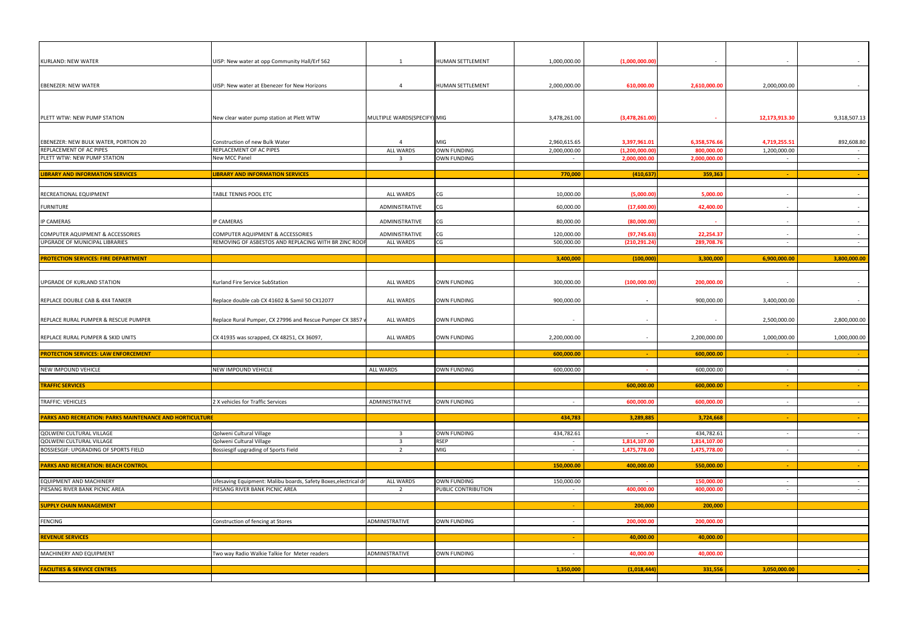| <b>KURLAND: NEW WATER</b>                                | UISP: New water at opp Community Hall/Erf 562                   | $\overline{1}$              | <b>HUMAN SETTLEMENT</b>                  | 1,000,000.00             | (1,000,000.00)                  |                           |                |                 |
|----------------------------------------------------------|-----------------------------------------------------------------|-----------------------------|------------------------------------------|--------------------------|---------------------------------|---------------------------|----------------|-----------------|
|                                                          |                                                                 |                             |                                          |                          |                                 |                           |                |                 |
|                                                          |                                                                 |                             |                                          |                          |                                 |                           |                |                 |
| <b>EBENEZER: NEW WATER</b>                               | UISP: New water at Ebenezer for New Horizons                    | -4                          | <b>HUMAN SETTLEMENT</b>                  | 2,000,000.00             | 610,000.00                      | 2,610,000.00              | 2,000,000.00   |                 |
|                                                          |                                                                 |                             |                                          |                          |                                 |                           |                |                 |
|                                                          |                                                                 |                             |                                          |                          |                                 |                           |                |                 |
|                                                          |                                                                 |                             |                                          |                          |                                 |                           |                |                 |
| PLETT WTW: NEW PUMP STATION                              | New clear water pump station at Plett WTW                       | MULTIPLE WARDS(SPECIFY) MIG |                                          | 3,478,261.00             | (3,478,261.00)                  |                           | 12,173,913.30  | 9,318,507.13    |
|                                                          |                                                                 |                             |                                          |                          |                                 |                           |                |                 |
|                                                          |                                                                 |                             |                                          |                          |                                 |                           |                |                 |
| EBENEZER: NEW BULK WATER, PORTION 20                     | Construction of new Bulk Water                                  | $\overline{4}$              | MIG                                      | 2,960,615.65             | 3,397,961.01                    | 6,358,576.66              | 4,719,255.51   | 892,608.80      |
| REPLACEMENT OF AC PIPES<br>PLETT WTW: NEW PUMP STATION   | REPLACEMENT OF AC PIPES<br>New MCC Panel                        | <b>ALL WARDS</b>            | <b>OWN FUNDING</b><br><b>OWN FUNDING</b> | 2,000,000.00             | (1, 200, 000.00)<br>2,000,000.0 | 800,000.00<br>2,000,000.0 | 1,200,000.00   |                 |
|                                                          |                                                                 | $\overline{\mathbf{3}}$     |                                          |                          |                                 |                           |                | $\sim$          |
| <b>LIBRARY AND INFORMATION SERVICES</b>                  | <b>IBRARY AND INFORMATION SERVICES</b>                          |                             |                                          | 770,000                  | (410, 637)                      | 359,363                   | $\sim$         | $\sim$          |
|                                                          |                                                                 |                             |                                          |                          |                                 |                           |                |                 |
|                                                          |                                                                 |                             |                                          |                          |                                 |                           |                |                 |
| RECREATIONAL EQUIPMENT                                   | TABLE TENNIS POOL ETC                                           | ALL WARDS                   | CG                                       | 10,000.00                | (5,000.00)                      | 5,000.00                  | $\sim$         | $\sim$          |
| <b>FURNITURE</b>                                         |                                                                 | ADMINISTRATIVE              | CG                                       | 60,000.00                | (17,600.00)                     | 42,400.00                 | $\sim$         | $\sim$ $-$      |
|                                                          |                                                                 |                             |                                          |                          |                                 |                           |                |                 |
| <b>IP CAMERAS</b>                                        | <b>IP CAMERAS</b>                                               | ADMINISTRATIVE              | CG                                       | 80,000.00                | (80,000.00)                     | $\sim$                    | $\sim$         | $\sim$          |
| COMPUTER AQUIPMENT & ACCESSORIES                         | COMPUTER AQUIPMENT & ACCESSORIES                                | ADMINISTRATIVE              | CG                                       | 120,000.00               | (97, 745.63)                    | 22,254.37                 | $\sim$         | $\sim$ $-$      |
| UPGRADE OF MUNICIPAL LIBRARIES                           | REMOVING OF ASBESTOS AND REPLACING WITH BR ZINC ROOF            | <b>ALL WARDS</b>            | CG                                       | 500,000.00               | (210, 291.24)                   | 289,708.76                | $\sim$         | $\sim$ $-$      |
|                                                          |                                                                 |                             |                                          |                          |                                 |                           |                |                 |
| <b>PROTECTION SERVICES: FIRE DEPARTMENT</b>              |                                                                 |                             |                                          | 3,400,000                | (100,000)                       | 3,300,000                 | 6,900,000.00   | 3,800,000.00    |
|                                                          |                                                                 |                             |                                          |                          |                                 |                           |                |                 |
|                                                          |                                                                 |                             |                                          |                          |                                 |                           |                |                 |
| UPGRADE OF KURLAND STATION                               | Kurland Fire Service SubStation                                 | <b>ALL WARDS</b>            | OWN FUNDING                              | 300,000.00               | (100,000.00)                    | 200,000.00                |                | $\sim$          |
|                                                          |                                                                 |                             |                                          |                          |                                 |                           |                |                 |
| REPLACE DOUBLE CAB & 4X4 TANKER                          | Replace double cab CX 41602 & Samil 50 CX12077                  | <b>ALL WARDS</b>            | <b>OWN FUNDING</b>                       | 900,000.00               |                                 | 900,000.00                | 3,400,000.00   | $\sim$          |
|                                                          |                                                                 |                             |                                          |                          |                                 |                           |                |                 |
| REPLACE RURAL PUMPER & RESCUE PUMPER                     | Replace Rural Pumper, CX 27996 and Rescue Pumper CX 3857        | ALL WARDS                   | <b>OWN FUNDING</b>                       | $\overline{\phantom{a}}$ |                                 |                           | 2,500,000.00   | 2,800,000.00    |
|                                                          |                                                                 |                             |                                          |                          |                                 |                           |                |                 |
| REPLACE RURAL PUMPER & SKID UNITS                        | CX 41935 was scrapped, CX 48251, CX 36097,                      | <b>ALL WARDS</b>            | <b>OWN FUNDING</b>                       | 2,200,000.00             |                                 | 2,200,000.00              | 1,000,000.00   | 1,000,000.00    |
|                                                          |                                                                 |                             |                                          |                          |                                 |                           |                |                 |
| <b>PROTECTION SERVICES: LAW ENFORCEMENT</b>              |                                                                 |                             |                                          | 600,000.00               |                                 | 600,000.00                | $\sim$ $ \sim$ | <b>Contract</b> |
|                                                          |                                                                 |                             |                                          |                          |                                 |                           |                |                 |
| NEW IMPOUND VEHICLE                                      | NEW IMPOUND VEHICLE                                             | ALL WARDS                   | OWN FUNDING                              | 600,000.00               |                                 | 600,000.00                | $\sim$         | $\sim$ $ \sim$  |
|                                                          |                                                                 |                             |                                          |                          |                                 |                           |                |                 |
| <b>TRAFFIC SERVICES</b>                                  |                                                                 |                             |                                          |                          | 600,000.00                      | 600,000.00                | $\sim$ $ \sim$ | $\sim 10^{-1}$  |
|                                                          |                                                                 |                             |                                          |                          |                                 |                           |                |                 |
| <b>TRAFFIC: VEHICLES</b>                                 | 2 X vehicles for Traffic Services                               | ADMINISTRATIVE              | <b>OWN FUNDING</b>                       | $\sim$                   | 600,000.0                       | 600,000.0                 | $\sim$         | $\sim$          |
|                                                          |                                                                 |                             |                                          |                          |                                 |                           |                |                 |
| PARKS AND RECREATION: PARKS MAINTENANCE AND HORTICULTURE |                                                                 |                             |                                          | 434,783                  | 3,289,885                       | 3,724,668                 | $\sim$         | $\sim 100$      |
| QOLWENI CULTURAL VILLAGE                                 | Qolweni Cultural Village                                        | $\overline{\mathbf{3}}$     | <b>OWN FUNDING</b>                       | 434,782.61               |                                 | 434,782.61                | $\blacksquare$ | $\sim$          |
| QOLWENI CULTURAL VILLAGE                                 | Qolweni Cultural Village                                        | $\overline{\mathbf{3}}$     | <b>RSEP</b>                              | $\sim$                   | 1,814,107.00                    | 1,814,107.00              |                |                 |
| BOSSIESGIF: UPGRADING OF SPORTS FIELD                    | Bossiesgif upgrading of Sports Field                            | $\overline{2}$              | <b>MIG</b>                               | $\sim$                   | 1,475,778.00                    | 1,475,778.00              | $\sim$         | $\sim$          |
|                                                          |                                                                 |                             |                                          |                          |                                 |                           |                |                 |
| <b>PARKS AND RECREATION: BEACH CONTROL</b>               |                                                                 |                             |                                          | 150,000.00               | 400,000.00                      | 550,000.00                | $\sim$         | $\sim$          |
|                                                          |                                                                 |                             |                                          |                          |                                 |                           |                |                 |
| <b>EQUIPMENT AND MACHINERY</b>                           | Lifesaving Equipment: Malibu boards, Safety Boxes,electrical dr | <b>ALL WARDS</b>            | <b>OWN FUNDING</b>                       | 150,000.00               |                                 | 150,000.00                | $\sim$         | $\sim$          |
| PIESANG RIVER BANK PICNIC AREA                           | PIESANG RIVER BANK PICNIC AREA                                  | 2                           | PUBLIC CONTRIBUTION                      | $\sim$                   | 400,000.00                      | 400,000.00                | $\sim$         | $\sim$          |
|                                                          |                                                                 |                             |                                          |                          |                                 |                           |                |                 |
| <b>SUPPLY CHAIN MANAGEMENT</b>                           |                                                                 |                             |                                          |                          | 200,000                         | 200,000                   |                |                 |
|                                                          |                                                                 |                             |                                          |                          |                                 |                           |                |                 |
| <b>FENCING</b>                                           | Construction of fencing at Stores                               | ADMINISTRATIVE              | <b>OWN FUNDING</b>                       | $\sim$ $-$               | 200,000.00                      | 200,000.00                |                |                 |
|                                                          |                                                                 |                             |                                          |                          |                                 |                           |                |                 |
| <b>REVENUE SERVICES</b>                                  |                                                                 |                             |                                          | $\sim$                   | 40,000.00                       | 40,000.00                 |                |                 |
| MACHINERY AND EQUIPMENT                                  | Two way Radio Walkie Talkie for Meter readers                   | ADMINISTRATIVE              | OWN FUNDING                              |                          | 40,000.00                       | 40,000.00                 |                |                 |
|                                                          |                                                                 |                             |                                          | $\sim$                   |                                 |                           |                |                 |
| <b>FACILITIES &amp; SERVICE CENTRES</b>                  |                                                                 |                             |                                          | 1,350,000                | (1,018,444)                     | 331,556                   | 3,050,000.00   | <b>Contract</b> |
|                                                          |                                                                 |                             |                                          |                          |                                 |                           |                |                 |
|                                                          |                                                                 |                             |                                          |                          |                                 |                           |                |                 |